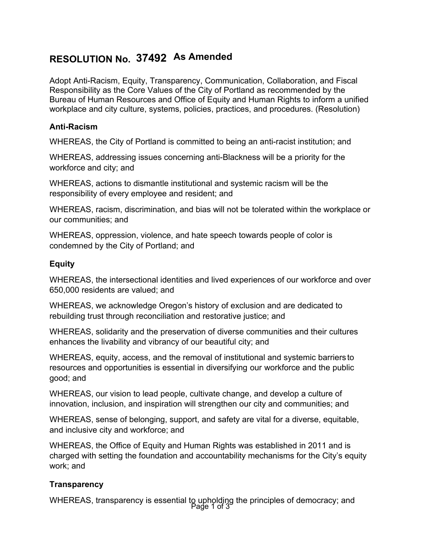# **RESOLUTION No. 37492 As Amended**

Adopt Anti-Racism, Equity, Transparency, Communication, Collaboration, and Fiscal Responsibility as the Core Values of the City of Portland as recommended by the Bureau of Human Resources and Office of Equity and Human Rights to inform a unified workplace and city culture, systems, policies, practices, and procedures. (Resolution)

# **Anti-Racism**

WHEREAS, the City of Portland is committed to being an anti-racist institution; and

WHEREAS, addressing issues concerning anti-Blackness will be a priority for the workforce and city; and

WHEREAS, actions to dismantle institutional and systemic racism will be the responsibility of every employee and resident; and

WHEREAS, racism, discrimination, and bias will not be tolerated within the workplace or our communities; and

WHEREAS, oppression, violence, and hate speech towards people of color is condemned by the City of Portland; and

#### **Equity**

WHEREAS, the intersectional identities and lived experiences of our workforce and over 650,000 residents are valued; and

WHEREAS, we acknowledge Oregon's history of exclusion and are dedicated to rebuilding trust through reconciliation and restorative justice; and

WHEREAS, solidarity and the preservation of diverse communities and their cultures enhances the livability and vibrancy of our beautiful city; and

WHEREAS, equity, access, and the removal of institutional and systemic barriers to resources and opportunities is essential in diversifying our workforce and the public good; and

WHEREAS, our vision to lead people, cultivate change, and develop a culture of innovation, inclusion, and inspiration will strengthen our city and communities; and

WHEREAS, sense of belonging, support, and safety are vital for a diverse, equitable, and inclusive city and workforce; and

WHEREAS, the Office of Equity and Human Rights was established in 2011 and is charged with setting the foundation and accountability mechanisms for the City's equity work; and

# **Transparency**

Page 1 of 3 WHEREAS, transparency is essential to upholding the principles of democracy; and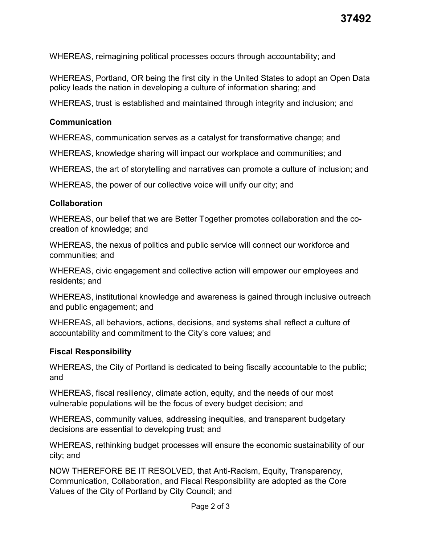WHEREAS, reimagining political processes occurs through accountability; and

WHEREAS, Portland, OR being the first city in the United States to adopt an Open Data policy leads the nation in developing a culture of information sharing; and

WHEREAS, trust is established and maintained through integrity and inclusion; and

#### **Communication**

WHEREAS, communication serves as a catalyst for transformative change; and

WHEREAS, knowledge sharing will impact our workplace and communities; and

WHEREAS, the art of storytelling and narratives can promote a culture of inclusion; and

WHEREAS, the power of our collective voice will unify our city; and

# **Collaboration**

WHEREAS, our belief that we are Better Together promotes collaboration and the cocreation of knowledge; and

WHEREAS, the nexus of politics and public service will connect our workforce and communities; and

WHEREAS, civic engagement and collective action will empower our employees and residents; and

WHEREAS, institutional knowledge and awareness is gained through inclusive outreach and public engagement; and

WHEREAS, all behaviors, actions, decisions, and systems shall reflect a culture of accountability and commitment to the City's core values; and

# **Fiscal Responsibility**

WHEREAS, the City of Portland is dedicated to being fiscally accountable to the public; and

WHEREAS, fiscal resiliency, climate action, equity, and the needs of our most vulnerable populations will be the focus of every budget decision; and

WHEREAS, community values, addressing inequities, and transparent budgetary decisions are essential to developing trust; and

WHEREAS, rethinking budget processes will ensure the economic sustainability of our city; and

NOW THEREFORE BE IT RESOLVED, that Anti-Racism, Equity, Transparency, Communication, Collaboration, and Fiscal Responsibility are adopted as the Core Values of the City of Portland by City Council; and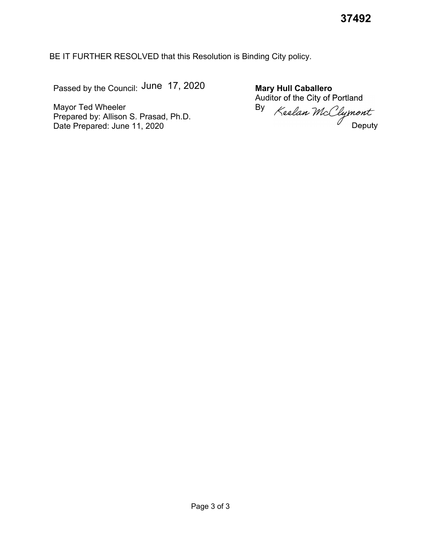BE IT FURTHER RESOLVED that this Resolution is Binding City policy.

Passed by the Council: June 17, 2020

Mayor Ted Wheeler Prepared by: Allison S. Prasad, Ph.D. Date Prepared: June 11, 2020

**Mary Hull Caballero** Auditor of the City of Portland By nor or and all clymont<br>Keelan McClymont